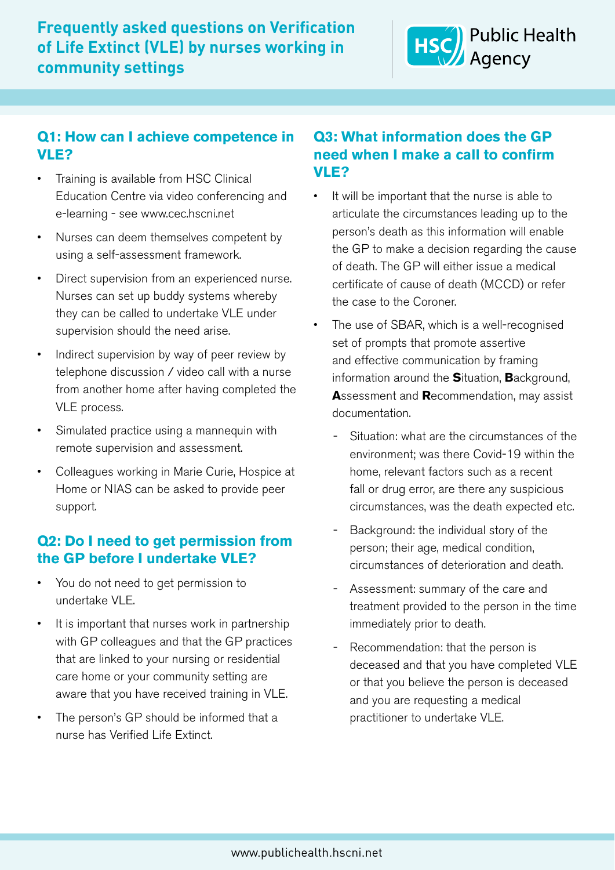

# **Q1: How can I achieve competence in VLE?**

- Training is available from HSC Clinical Education Centre via video conferencing and e-learning - see www.cec.hscni.net
- Nurses can deem themselves competent by using a self-assessment framework.
- Direct supervision from an experienced nurse. Nurses can set up buddy systems whereby they can be called to undertake VLE under supervision should the need arise.
- Indirect supervision by way of peer review by telephone discussion / video call with a nurse from another home after having completed the VLE process.
- Simulated practice using a mannequin with remote supervision and assessment.
- Colleagues working in Marie Curie, Hospice at Home or NIAS can be asked to provide peer support.

## **Q2: Do I need to get permission from the GP before I undertake VLE?**

- You do not need to get permission to undertake VLE.
- It is important that nurses work in partnership with GP colleagues and that the GP practices that are linked to your nursing or residential care home or your community setting are aware that you have received training in VLE.
- The person's GP should be informed that a nurse has Verified Life Extinct.

# **Q3: What information does the GP need when I make a call to confirm VLE?**

- It will be important that the nurse is able to articulate the circumstances leading up to the person's death as this information will enable the GP to make a decision regarding the cause of death. The GP will either issue a medical certificate of cause of death (MCCD) or refer the case to the Coroner.
- The use of SBAR, which is a well-recognised set of prompts that promote assertive and effective communication by framing information around the **S**ituation, **B**ackground, **A**ssessment and **R**ecommendation, may assist documentation.
	- Situation: what are the circumstances of the environment; was there Covid-19 within the home, relevant factors such as a recent fall or drug error, are there any suspicious circumstances, was the death expected etc.
	- Background: the individual story of the person; their age, medical condition, circumstances of deterioration and death.
	- Assessment: summary of the care and treatment provided to the person in the time immediately prior to death.
	- Recommendation: that the person is deceased and that you have completed VLE or that you believe the person is deceased and you are requesting a medical practitioner to undertake VLE.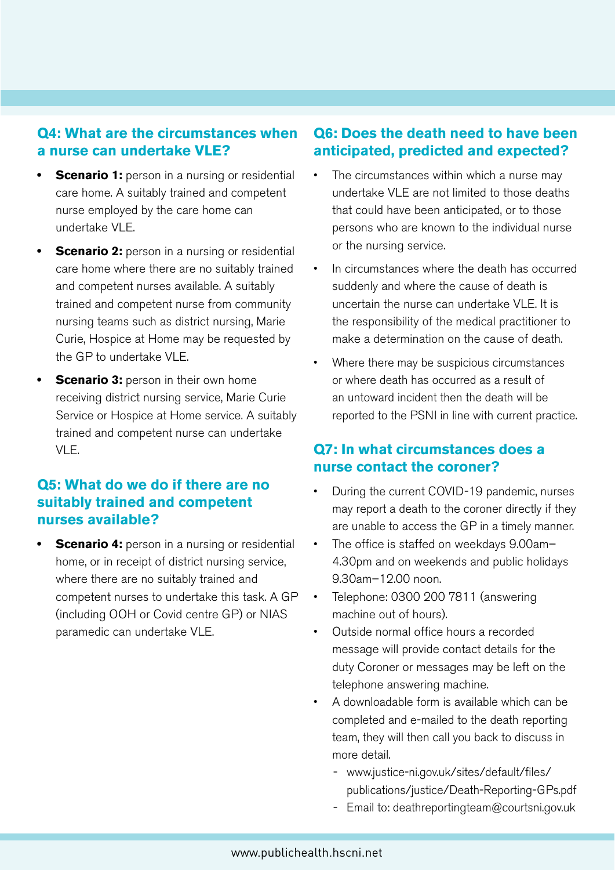#### **Q4: What are the circumstances when a nurse can undertake VLE?**

- **Scenario 1:** person in a nursing or residential care home. A suitably trained and competent nurse employed by the care home can undertake VI F.
- **Scenario 2:** person in a nursing or residential care home where there are no suitably trained and competent nurses available. A suitably trained and competent nurse from community nursing teams such as district nursing, Marie Curie, Hospice at Home may be requested by the GP to undertake VLE.
- **Scenario 3:** person in their own home receiving district nursing service, Marie Curie Service or Hospice at Home service. A suitably trained and competent nurse can undertake VI<sub>F.</sub>

## **Q5: What do we do if there are no suitably trained and competent nurses available?**

**Scenario 4:** person in a nursing or residential home, or in receipt of district nursing service, where there are no suitably trained and competent nurses to undertake this task. A GP (including OOH or Covid centre GP) or NIAS paramedic can undertake VLE.

### **Q6: Does the death need to have been anticipated, predicted and expected?**

- The circumstances within which a nurse may undertake VLE are not limited to those deaths that could have been anticipated, or to those persons who are known to the individual nurse or the nursing service.
- In circumstances where the death has occurred suddenly and where the cause of death is uncertain the nurse can undertake VLE. It is the responsibility of the medical practitioner to make a determination on the cause of death.
- Where there may be suspicious circumstances or where death has occurred as a result of an untoward incident then the death will be reported to the PSNI in line with current practice.

# **Q7: In what circumstances does a nurse contact the coroner?**

- During the current COVID-19 pandemic, nurses may report a death to the coroner directly if they are unable to access the GP in a timely manner.
- The office is staffed on weekdays 9.00am– 4.30pm and on weekends and public holidays 9.30am–12.00 noon.
- Telephone: 0300 200 7811 (answering machine out of hours).
- Outside normal office hours a recorded message will provide contact details for the duty Coroner or messages may be left on the telephone answering machine.
- A downloadable form is available which can be completed and e-mailed to the death reporting team, they will then call you back to discuss in more detail.
	- www.justice-ni.gov.uk/sites/default/files/ [publications/justice/Death-Reporting-GPs.pdf](https://www.justice-ni.gov.uk/sites/default/files/publications/justice/Death-Reporting-GPs.pdf)
	- Email to: deathreportingteam@courtsni.gov.uk